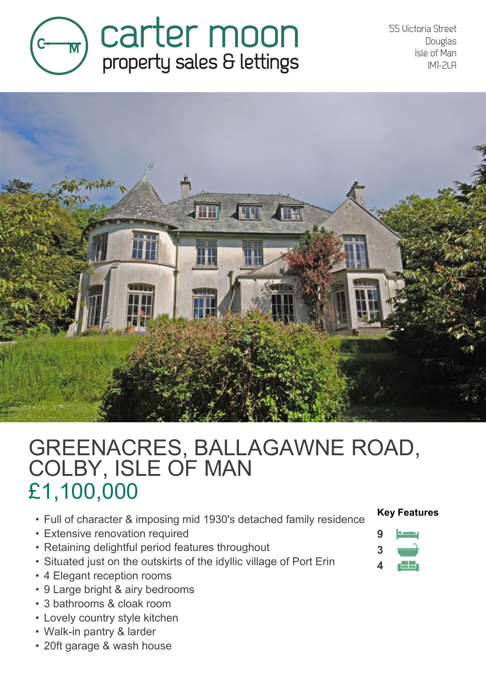

# Carter moon

55 Victoria Street Douglas Isle of Man IM1-2LA



### GREENACRES, BALLAGAWNE ROAD, COLBY, ISLE OF MAN £1,100,000

- Full of character & imposing mid 1930's detached family residence
- Extensive renovation required
- Retaining delightful period features throughout
- Situated just on the outskirts of the idyllic village of Port Erin
- 4 Elegant reception rooms
- 9 Large bright & airy bedrooms
- 3 bathrooms & cloak room
- Lovely country style kitchen
- Walk-in pantry & larder
- 20ft garage & wash house

#### **Key Features**

| . |
|---|
| . |

**4**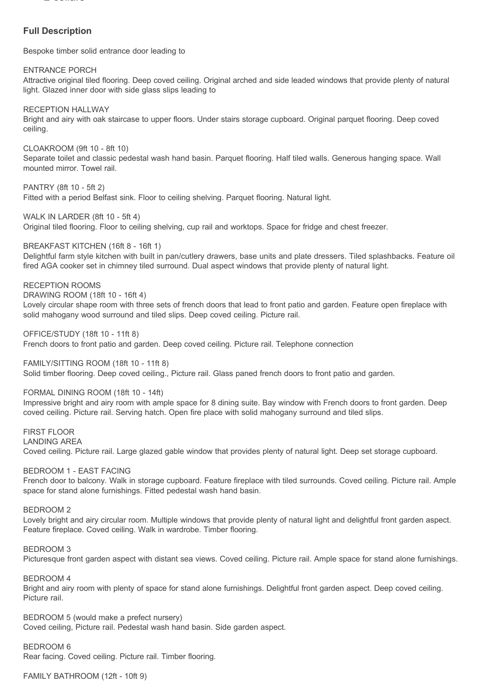#### **Full Description**

Bespoke timber solid entrance door leading to

ENTRANCE PORCH Attractive original tiled flooring. Deep coved ceiling. Original arched and side leaded windows that provide plenty of natural light. Glazed inner door with side glass slips leading to

RECEPTION HALLWAY Bright and airy with oak staircase to upper floors. Under stairs storage cupboard. Original parquet flooring. Deep coved ceiling.

CLOAKROOM (9ft 10 - 8ft 10) Separate toilet and classic pedestal wash hand basin. Parquet flooring. Half tiled walls. Generous hanging space. Wall mounted mirror. Towel rail.

PANTRY (8ft 10 - 5ft 2) Fitted with a period Belfast sink. Floor to ceiling shelving. Parquet flooring. Natural light.

WALK IN LARDER (8ft 10 - 5ft 4) Original tiled flooring. Floor to ceiling shelving, cup rail and worktops. Space for fridge and chest freezer.

BREAKFAST KITCHEN (16ft 8 - 16ft 1)

Delightful farm style kitchen with built in pan/cutlery drawers, base units and plate dressers. Tiled splashbacks. Feature oil fired AGA cooker set in chimney tiled surround. Dual aspect windows that provide plenty of natural light.

RECEPTION ROOMS

DRAWING ROOM (18ft 10 - 16ft 4)

Lovely circular shape room with three sets of french doors that lead to front patio and garden. Feature open fireplace with solid mahogany wood surround and tiled slips. Deep coved ceiling. Picture rail.

OFFICE/STUDY (18ft 10 - 11ft 8)

French doors to front patio and garden. Deep coved ceiling. Picture rail. Telephone connection

FAMILY/SITTING ROOM (18ft 10 - 11ft 8) Solid timber flooring. Deep coved ceiling., Picture rail. Glass paned french doors to front patio and garden.

FORMAL DINING ROOM (18ft 10 - 14ft)

Impressive bright and airy room with ample space for 8 dining suite. Bay window with French doors to front garden. Deep coved ceiling. Picture rail. Serving hatch. Open fire place with solid mahogany surround and tiled slips.

FIRST FLOOR LANDING AREA Coved ceiling. Picture rail. Large glazed gable window that provides plenty of natural light. Deep set storage cupboard.

BEDROOM 1 - EAST FACING French door to balcony. Walk in storage cupboard. Feature fireplace with tiled surrounds. Coved ceiling. Picture rail. Ample space for stand alone furnishings. Fitted pedestal wash hand basin.

BEDROOM 2

Lovely bright and airy circular room. Multiple windows that provide plenty of natural light and delightful front garden aspect. Feature fireplace. Coved ceiling. Walk in wardrobe. Timber flooring.

BEDROOM 3

Picturesque front garden aspect with distant sea views. Coved ceiling. Picture rail. Ample space for stand alone furnishings.

BEDROOM 4 Bright and airy room with plenty of space for stand alone furnishings. Delightful front garden aspect. Deep coved ceiling. Picture rail.

BEDROOM 5 (would make a prefect nursery) Coved ceiling, Picture rail. Pedestal wash hand basin. Side garden aspect.

BEDROOM 6

Rear facing. Coved ceiling. Picture rail. Timber flooring.

FAMILY BATHROOM (12ft - 10ft 9)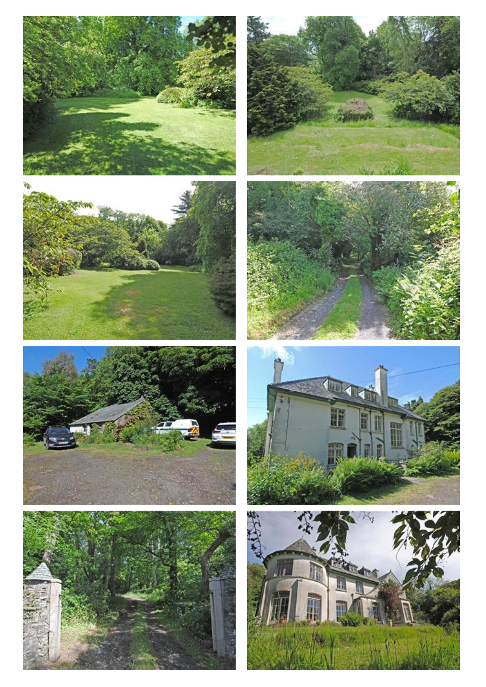